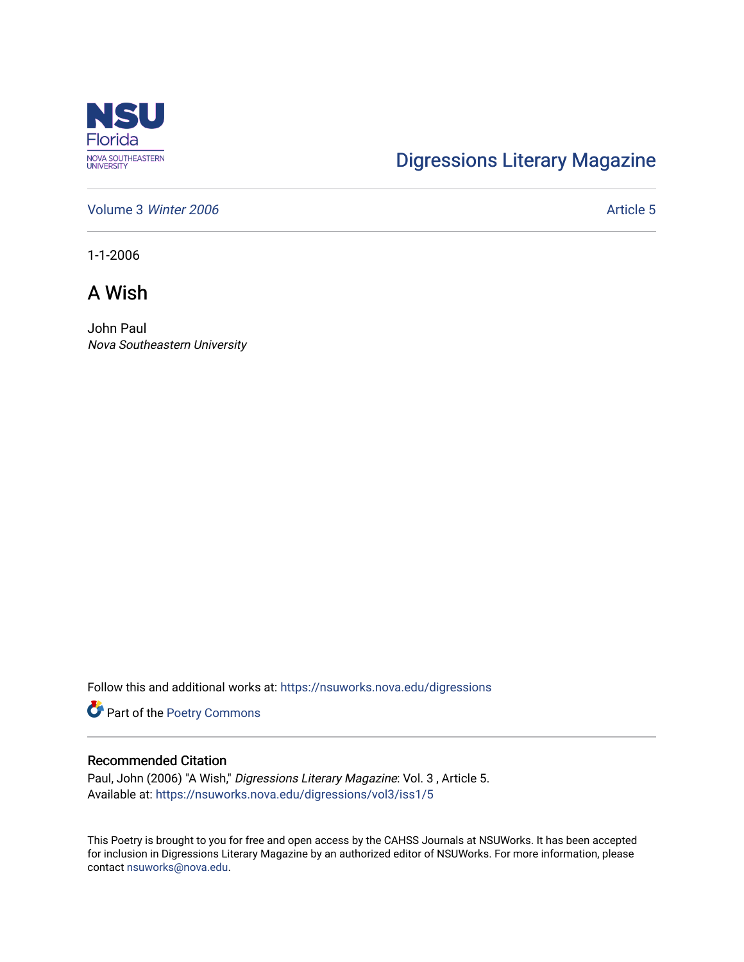

## [Digressions Literary Magazine](https://nsuworks.nova.edu/digressions)

[Volume 3](https://nsuworks.nova.edu/digressions/vol3) Winter 2006 Article 5

1-1-2006

A Wish

John Paul Nova Southeastern University

Follow this and additional works at: [https://nsuworks.nova.edu/digressions](https://nsuworks.nova.edu/digressions?utm_source=nsuworks.nova.edu%2Fdigressions%2Fvol3%2Fiss1%2F5&utm_medium=PDF&utm_campaign=PDFCoverPages) 

Part of the [Poetry Commons](http://network.bepress.com/hgg/discipline/1153?utm_source=nsuworks.nova.edu%2Fdigressions%2Fvol3%2Fiss1%2F5&utm_medium=PDF&utm_campaign=PDFCoverPages) 

## Recommended Citation

Paul, John (2006) "A Wish," Digressions Literary Magazine: Vol. 3 , Article 5. Available at: [https://nsuworks.nova.edu/digressions/vol3/iss1/5](https://nsuworks.nova.edu/digressions/vol3/iss1/5?utm_source=nsuworks.nova.edu%2Fdigressions%2Fvol3%2Fiss1%2F5&utm_medium=PDF&utm_campaign=PDFCoverPages) 

This Poetry is brought to you for free and open access by the CAHSS Journals at NSUWorks. It has been accepted for inclusion in Digressions Literary Magazine by an authorized editor of NSUWorks. For more information, please contact [nsuworks@nova.edu.](mailto:nsuworks@nova.edu)